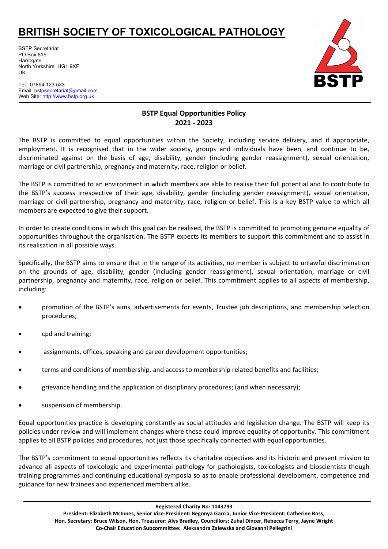BSTP Secretariat PO Box 819 **Harrogate** North Yorkshire HG1 9XF UK

Tel: 07894 123 533 Email: [bstpsecretariat@gmail.com](mailto:bstpsecretariat@gmail.com) Web Site: http://www.bstp.org.uk



## **BSTP Equal Opportunities Policy 2021 - 2023**

The BSTP is committed to equal opportunities within the Society, including service delivery, and if appropriate, employment. It is recognised that in the wider society, groups and individuals have been, and continue to be, discriminated against on the basis of age, disability, gender (including gender reassignment), sexual orientation, marriage or civil partnership, pregnancy and maternity, race, religion or belief.

The BSTP is committed to an environment in which members are able to realise their full potential and to contribute to the BSTP's success irrespective of their age, disability, gender (including gender reassignment), sexual orientation, marriage or civil partnership, pregnancy and maternity, race, religion or belief. This is a key BSTP value to which all members are expected to give their support.

In order to create conditions in which this goal can be realised, the BSTP is committed to promoting genuine equality of opportunities throughout the organisation. The BSTP expects its members to support this commitment and to assist in its realisation in all possible ways.

Specifically, the BSTP aims to ensure that in the range of its activities, no member is subject to unlawful discrimination on the grounds of age, disability, gender (including gender reassignment), sexual orientation, marriage or civil partnership, pregnancy and maternity, race, religion or belief. This commitment applies to all aspects of membership, including:

- promotion of the BSTP's aims, advertisements for events, Trustee job descriptions, and membership selection procedures;
- cpd and training;
- assignments, offices, speaking and career development opportunities;
- terms and conditions of membership, and access to membership related benefits and facilities;
- grievance handling and the application of disciplinary procedures; (and when necessary);
- suspension of membership.

Equal opportunities practice is developing constantly as social attitudes and legislation change. The BSTP will keep its policies under review and will implement changes where these could improve equality of opportunity. This commitment applies to all BSTP policies and procedures, not just those specifically connected with equal opportunities.

The BSTP's commitment to equal opportunities reflects its charitable objectives and its historic and present mission to advance all aspects of toxicologic and experimental pathology for pathologists, toxicologists and bioscientists though training programmes and continuing educational symposia so as to enable professional development, competence and guidance for new trainees and experienced members alike.

**Registered Charity No: 1043793**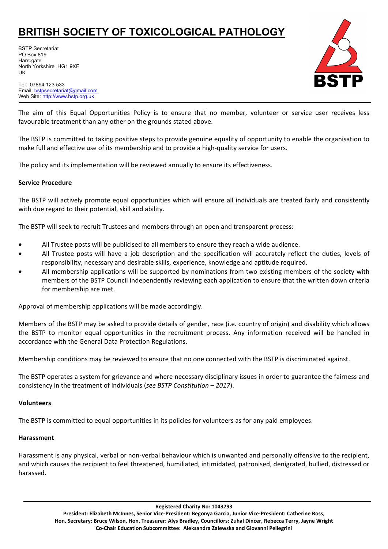BSTP Secretariat PO Box 819 **Harrogate** North Yorkshire HG1 9XF UK



Tel: 07894 123 533 Email: [bstpsecretariat@gmail.com](mailto:bstpsecretariat@gmail.com) Web Site: http://www.bstp.org.uk

The aim of this Equal Opportunities Policy is to ensure that no member, volunteer or service user receives less favourable treatment than any other on the grounds stated above.

The BSTP is committed to taking positive steps to provide genuine equality of opportunity to enable the organisation to make full and effective use of its membership and to provide a high-quality service for users.

The policy and its implementation will be reviewed annually to ensure its effectiveness.

### **Service Procedure**

The BSTP will actively promote equal opportunities which will ensure all individuals are treated fairly and consistently with due regard to their potential, skill and ability.

The BSTP will seek to recruit Trustees and members through an open and transparent process:

- All Trustee posts will be publicised to all members to ensure they reach a wide audience.
- All Trustee posts will have a job description and the specification will accurately reflect the duties, levels of responsibility, necessary and desirable skills, experience, knowledge and aptitude required.
- All membership applications will be supported by nominations from two existing members of the society with members of the BSTP Council independently reviewing each application to ensure that the written down criteria for membership are met.

Approval of membership applications will be made accordingly.

Members of the BSTP may be asked to provide details of gender, race (i.e. country of origin) and disability which allows the BSTP to monitor equal opportunities in the recruitment process. Any information received will be handled in accordance with the General Data Protection Regulations.

Membership conditions may be reviewed to ensure that no one connected with the BSTP is discriminated against.

The BSTP operates a system for grievance and where necessary disciplinary issues in order to guarantee the fairness and consistency in the treatment of individuals (*see BSTP Constitution – 2017*).

### **Volunteers**

The BSTP is committed to equal opportunities in its policies for volunteers as for any paid employees.

### **Harassment**

Harassment is any physical, verbal or non-verbal behaviour which is unwanted and personally offensive to the recipient, and which causes the recipient to feel threatened, humiliated, intimidated, patronised, denigrated, bullied, distressed or harassed.

**Registered Charity No: 1043793**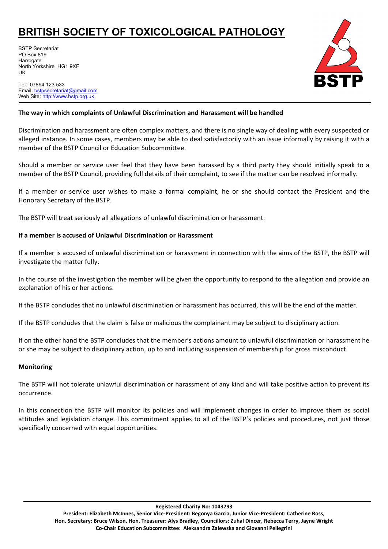BSTP Secretariat PO Box 819 Harrogate North Yorkshire HG1 9XF UK

Tel: 07894 123 533 Email: [bstpsecretariat@gmail.com](mailto:bstpsecretariat@gmail.com) Web Site: http://www.bstp.org.uk



## **The way in which complaints of Unlawful Discrimination and Harassment will be handled**

Discrimination and harassment are often complex matters, and there is no single way of dealing with every suspected or alleged instance. In some cases, members may be able to deal satisfactorily with an issue informally by raising it with a member of the BSTP Council or Education Subcommittee.

Should a member or service user feel that they have been harassed by a third party they should initially speak to a member of the BSTP Council, providing full details of their complaint, to see if the matter can be resolved informally.

If a member or service user wishes to make a formal complaint, he or she should contact the President and the Honorary Secretary of the BSTP.

The BSTP will treat seriously all allegations of unlawful discrimination or harassment.

## **If a member is accused of Unlawful Discrimination or Harassment**

If a member is accused of unlawful discrimination or harassment in connection with the aims of the BSTP, the BSTP will investigate the matter fully.

In the course of the investigation the member will be given the opportunity to respond to the allegation and provide an explanation of his or her actions.

If the BSTP concludes that no unlawful discrimination or harassment has occurred, this will be the end of the matter.

If the BSTP concludes that the claim is false or malicious the complainant may be subject to disciplinary action.

If on the other hand the BSTP concludes that the member's actions amount to unlawful discrimination or harassment he or she may be subject to disciplinary action, up to and including suspension of membership for gross misconduct.

### **Monitoring**

The BSTP will not tolerate unlawful discrimination or harassment of any kind and will take positive action to prevent its occurrence.

In this connection the BSTP will monitor its policies and will implement changes in order to improve them as social attitudes and legislation change. This commitment applies to all of the BSTP's policies and procedures, not just those specifically concerned with equal opportunities.

**Registered Charity No: 1043793**

**President: Elizabeth McInnes, Senior Vice-President: Begonya Garcia, Junior Vice-President: Catherine Ross, Hon. Secretary: Bruce Wilson, Hon. Treasurer: Alys Bradley, Councillors: Zuhal Dincer, Rebecca Terry, Jayne Wright Co-Chair Education Subcommittee: Aleksandra Zalewska and Giovanni Pellegrini**